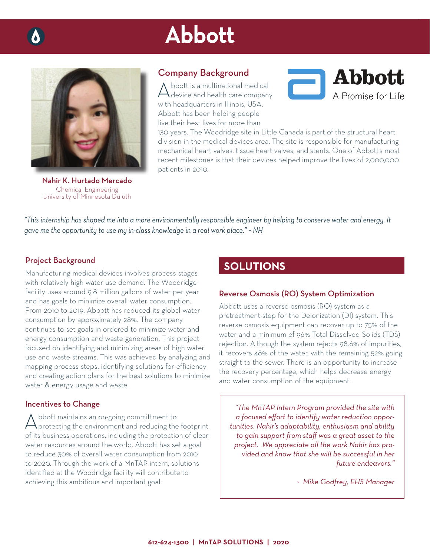# Abbott



Nahir K. Hurtado Mercado Chemical Engineering University of Minnesota Duluth

## Company Background

Abbott is a multinational medical<br>device and health care company with headquarters in Illinois, USA. Abbott has been helping people live their best lives for more than



130 years. The Woodridge site in Little Canada is part of the structural heart division in the medical devices area. The site is responsible for manufacturing mechanical heart valves, tissue heart valves, and stents. One of Abbott's most recent milestones is that their devices helped improve the lives of 2,000,000 patients in 2010.

*"This internship has shaped me into a more environmentally responsible engineer by helping to conserve water and energy. It gave me the opportunity to use my in-class knowledge in a real work place." ~ NH*

### Project Background

Manufacturing medical devices involves process stages with relatively high water use demand. The Woodridge facility uses around 9.8 million gallons of water per year and has goals to minimize overall water consumption. From 2010 to 2019, Abbott has reduced its global water consumption by approximately 28%. The company continues to set goals in ordered to minimize water and energy consumption and waste generation. This project focused on identifying and minimizing areas of high water use and waste streams. This was achieved by analyzing and mapping process steps, identifying solutions for efficiency and creating action plans for the best solutions to minimize water & energy usage and waste.

#### Incentives to Change

Abbott maintains an on-going committment to protecting the environment and reducing the footprint of its business operations, including the protection of clean water resources around the world. Abbott has set a goal to reduce 30% of overall water consumption from 2010 to 2020. Through the work of a MnTAP intern, solutions identified at the Woodridge facility will contribute to achieving this ambitious and important goal.

# **SOLUTIONS**

#### Reverse Osmosis (RO) System Optimization

Abbott uses a reverse osmosis (RO) system as a pretreatment step for the Deionization (DI) system. This reverse osmosis equipment can recover up to 75% of the water and a minimum of 96% Total Dissolved Solids (TDS) rejection. Although the system rejects 98.6% of impurities, it recovers 48% of the water, with the remaining 52% going straight to the sewer. There is an opportunity to increase the recovery percentage, which helps decrease energy and water consumption of the equipment.

*"The MnTAP Intern Program provided the site with*  a focused effort to identify water reduction oppor*tunities. Nahir's adaptability, enthusiasm and ability to gain support from staff was a great asset to the project. We appreciate all the work Nahir has provided and know that she will be successful in her future endeavors."*

*~ Mike Godfrey, EHS Manager*